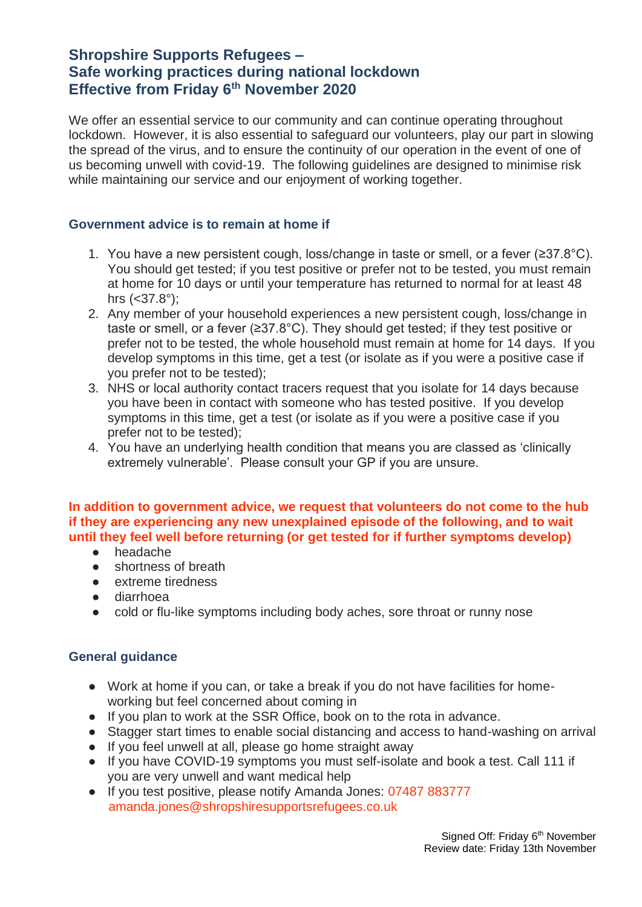# **Shropshire Supports Refugees – Safe working practices during national lockdown Effective from Friday 6th November 2020**

We offer an essential service to our community and can continue operating throughout lockdown. However, it is also essential to safeguard our volunteers, play our part in slowing the spread of the virus, and to ensure the continuity of our operation in the event of one of us becoming unwell with covid-19. The following guidelines are designed to minimise risk while maintaining our service and our enjoyment of working together.

#### **Government advice is to remain at home if**

- 1. You have a new persistent cough, loss/change in taste or smell, or a fever (≥37.8 $^{\circ}$ C). You should get tested; if you test positive or prefer not to be tested, you must remain at home for 10 days or until your temperature has returned to normal for at least 48 hrs (<37.8°);
- 2. Any member of your household experiences a new persistent cough, loss/change in taste or smell, or a fever (≥37.8°C). They should get tested; if they test positive or prefer not to be tested, the whole household must remain at home for 14 days. If you develop symptoms in this time, get a test (or isolate as if you were a positive case if you prefer not to be tested);
- 3. NHS or local authority contact tracers request that you isolate for 14 days because you have been in contact with someone who has tested positive. If you develop symptoms in this time, get a test (or isolate as if you were a positive case if you prefer not to be tested);
- 4. You have an underlying health condition that means you are classed as 'clinically extremely vulnerable'. Please consult your GP if you are unsure.

#### **In addition to government advice, we request that volunteers do not come to the hub if they are experiencing any new unexplained episode of the following, and to wait until they feel well before returning (or get tested for if further symptoms develop)**

- headache
- shortness of breath
- extreme tiredness
- diarrhoea
- cold or flu-like symptoms including body aches, sore throat or runny nose

#### **General guidance**

- Work at home if you can, or take a break if you do not have facilities for homeworking but feel concerned about coming in
- If you plan to work at the SSR Office, book on to the rota in advance.
- Stagger start times to enable social distancing and access to hand-washing on arrival
- If you feel unwell at all, please go home straight away
- If you have COVID-19 symptoms you must self-isolate and book a test. Call 111 if you are very unwell and want medical help
- If you test positive, please notify Amanda Jones: 07487 883777 amanda.jones@shropshiresupportsrefugees.co.uk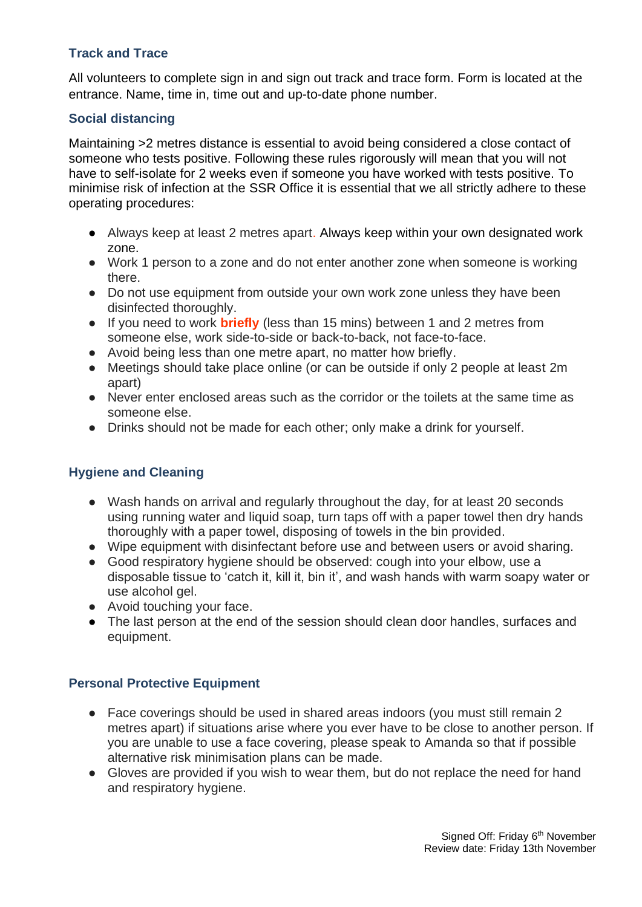## **Track and Trace**

All volunteers to complete sign in and sign out track and trace form. Form is located at the entrance. Name, time in, time out and up-to-date phone number.

# **Social distancing**

Maintaining >2 metres distance is essential to avoid being considered a close contact of someone who tests positive. Following these rules rigorously will mean that you will not have to self-isolate for 2 weeks even if someone you have worked with tests positive. To minimise risk of infection at the SSR Office it is essential that we all strictly adhere to these operating procedures:

- Always keep at least 2 metres apart. Always keep within your own designated work zone.
- Work 1 person to a zone and do not enter another zone when someone is working there.
- Do not use equipment from outside your own work zone unless they have been disinfected thoroughly.
- If you need to work **briefly** (less than 15 mins) between 1 and 2 metres from someone else, work side-to-side or back-to-back, not face-to-face.
- Avoid being less than one metre apart, no matter how briefly.
- Meetings should take place online (or can be outside if only 2 people at least 2m) apart)
- Never enter enclosed areas such as the corridor or the toilets at the same time as someone else.
- Drinks should not be made for each other; only make a drink for yourself.

### **Hygiene and Cleaning**

- Wash hands on arrival and regularly throughout the day, for at least 20 seconds using running water and liquid soap, turn taps off with a paper towel then dry hands thoroughly with a paper towel, disposing of towels in the bin provided.
- Wipe equipment with disinfectant before use and between users or avoid sharing.
- Good respiratory hygiene should be observed: cough into your elbow, use a disposable tissue to 'catch it, kill it, bin it', and wash hands with warm soapy water or use alcohol gel.
- Avoid touching your face.
- The last person at the end of the session should clean door handles, surfaces and equipment.

### **Personal Protective Equipment**

- Face coverings should be used in shared areas indoors (you must still remain 2 metres apart) if situations arise where you ever have to be close to another person. If you are unable to use a face covering, please speak to Amanda so that if possible alternative risk minimisation plans can be made.
- Gloves are provided if you wish to wear them, but do not replace the need for hand and respiratory hygiene.